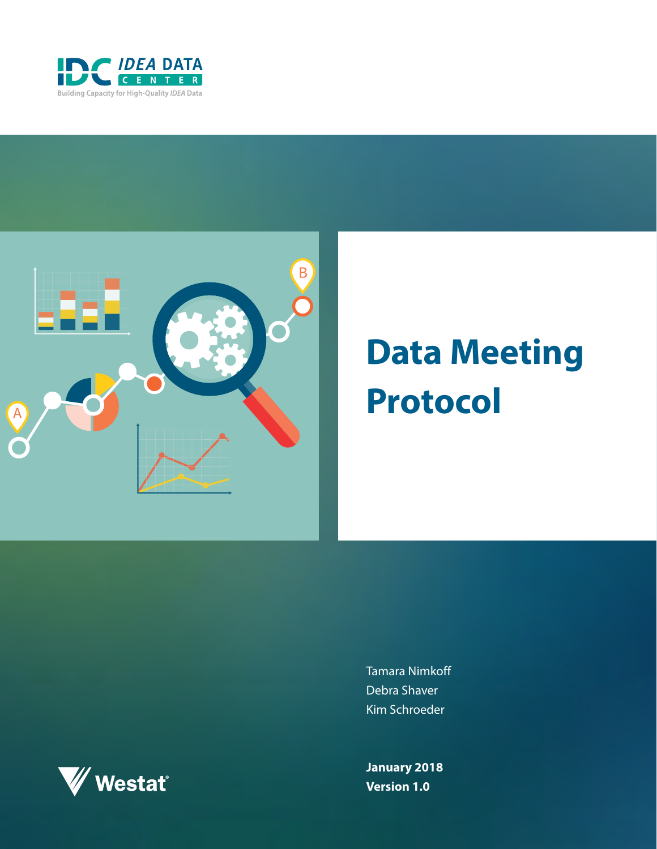



# **Data Meeting Protocol**

Tamara Nimkoff Debra Shaver Kim Schroeder

**January 2018 Version 1.0**

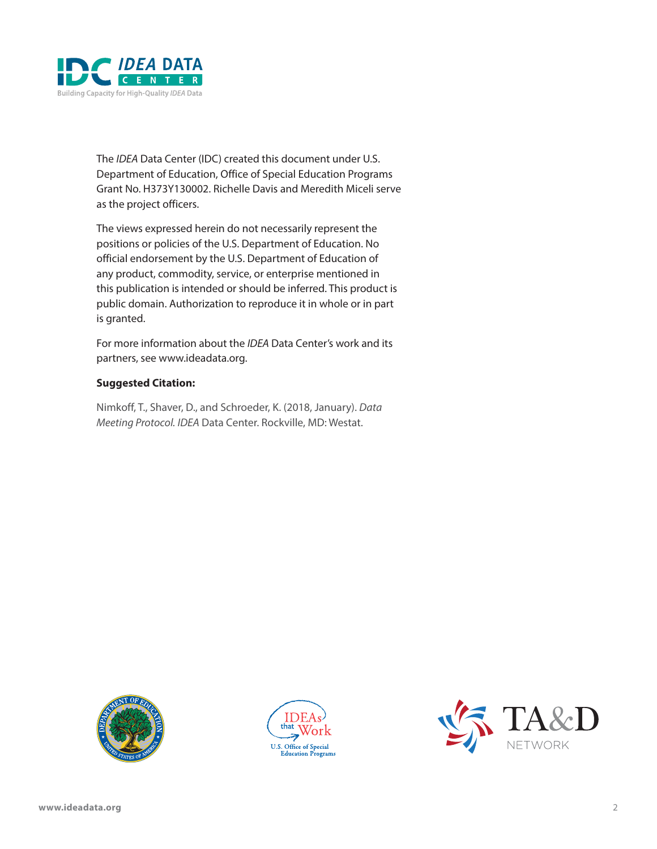

The *IDEA* Data Center (IDC) created this document under U.S. Department of Education, Office of Special Education Programs Grant No. H373Y130002. Richelle Davis and Meredith Miceli serve as the project officers.

The views expressed herein do not necessarily represent the positions or policies of the U.S. Department of Education. No official endorsement by the U.S. Department of Education of any product, commodity, service, or enterprise mentioned in this publication is intended or should be inferred. This product is public domain. Authorization to reproduce it in whole or in part is granted.

For more information about the *IDEA* Data Center's work and its partners, see [www.ideadata.org](http://www.ideadata.org).

#### **Suggested Citation:**

Nimkoff, T., Shaver, D., and Schroeder, K. (2018, January). *Data Meeting Protocol. IDEA* Data Center. Rockville, MD: Westat.





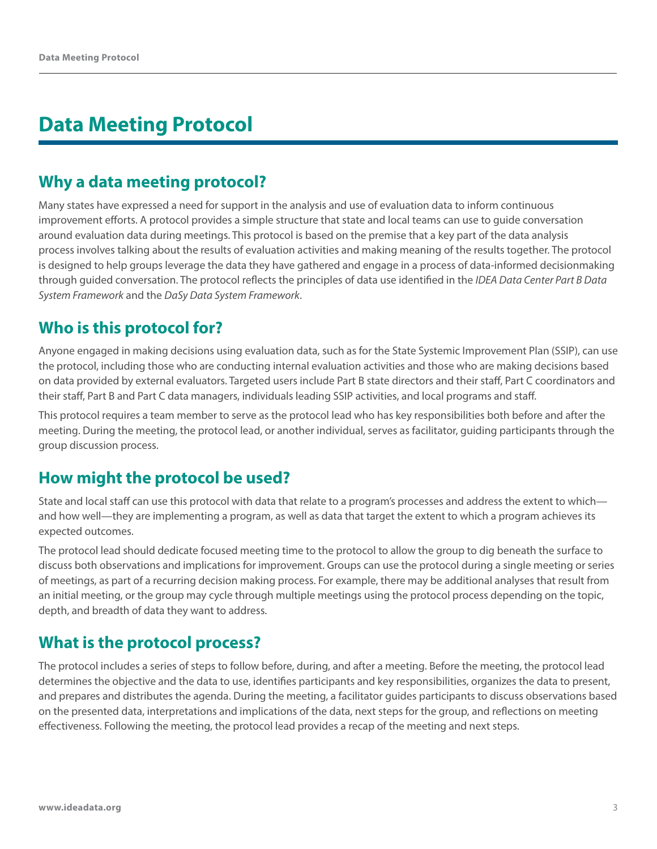# **Data Meeting Protocol**

## **Why a data meeting protocol?**

Many states have expressed a need for support in the analysis and use of evaluation data to inform continuous improvement efforts. A protocol provides a simple structure that state and local teams can use to guide conversation around evaluation data during meetings. This protocol is based on the premise that a key part of the data analysis process involves talking about the results of evaluation activities and making meaning of the results together. The protocol is designed to help groups leverage the data they have gathered and engage in a process of data-informed decisionmaking through guided conversation. The protocol reflects the principles of data use identified in the *[IDEA Data Center Part B Data](https://ideadata.org/resources/resource/1593/idea-data-center-part-b-data-system-framework)  [System Framework](https://ideadata.org/resources/resource/1593/idea-data-center-part-b-data-system-framework)* and the *[DaSy Data System Framework](http://dasycenter.org/resources/dasy-framework/)*.

## **Who is this protocol for?**

Anyone engaged in making decisions using evaluation data, such as for the State Systemic Improvement Plan (SSIP), can use the protocol, including those who are conducting internal evaluation activities and those who are making decisions based on data provided by external evaluators. Targeted users include Part B state directors and their staff, Part C coordinators and their staff, Part B and Part C data managers, individuals leading SSIP activities, and local programs and staff.

This protocol requires a team member to serve as the protocol lead who has key responsibilities both before and after the meeting. During the meeting, the protocol lead, or another individual, serves as facilitator, guiding participants through the group discussion process.

## **How might the protocol be used?**

State and local staff can use this protocol with data that relate to a program's processes and address the extent to which and how well—they are implementing a program, as well as data that target the extent to which a program achieves its expected outcomes.

The protocol lead should dedicate focused meeting time to the protocol to allow the group to dig beneath the surface to discuss both observations and implications for improvement. Groups can use the protocol during a single meeting or series of meetings, as part of a recurring decision making process. For example, there may be additional analyses that result from an initial meeting, or the group may cycle through multiple meetings using the protocol process depending on the topic, depth, and breadth of data they want to address.

## **What is the protocol process?**

The protocol includes a series of steps to follow before, during, and after a meeting. Before the meeting, the protocol lead determines the objective and the data to use, identifies participants and key responsibilities, organizes the data to present, and prepares and distributes the agenda. During the meeting, a facilitator guides participants to discuss observations based on the presented data, interpretations and implications of the data, next steps for the group, and reflections on meeting effectiveness. Following the meeting, the protocol lead provides a recap of the meeting and next steps.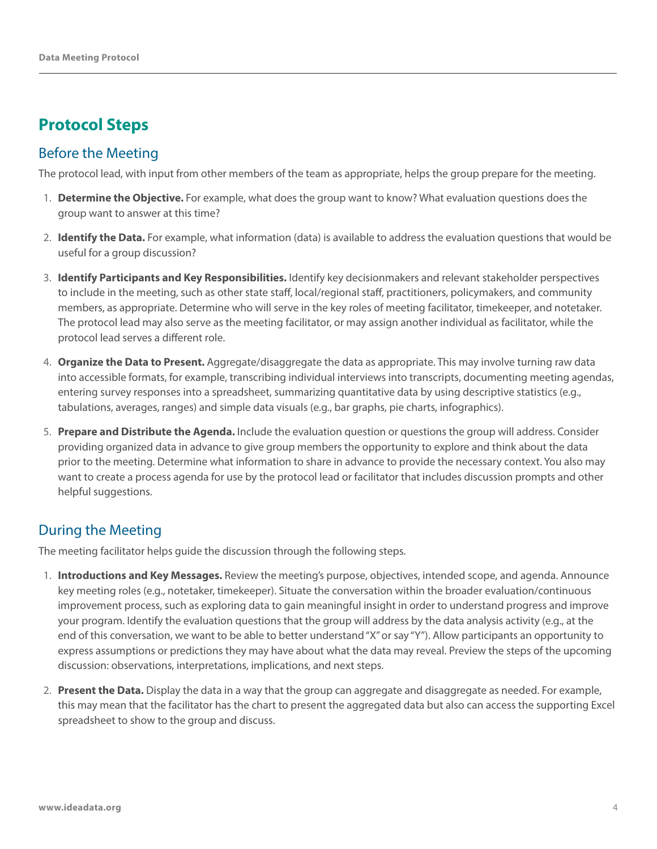## **Protocol Steps**

#### Before the Meeting

The protocol lead, with input from other members of the team as appropriate, helps the group prepare for the meeting.

- 1. **Determine the Objective.** For example, what does the group want to know? What evaluation questions does the group want to answer at this time?
- 2. **Identify the Data.** For example, what information (data) is available to address the evaluation questions that would be useful for a group discussion?
- 3. **Identify Participants and Key Responsibilities.** Identify key decisionmakers and relevant stakeholder perspectives to include in the meeting, such as other state staff, local/regional staff, practitioners, policymakers, and community members, as appropriate. Determine who will serve in the key roles of meeting facilitator, timekeeper, and notetaker. The protocol lead may also serve as the meeting facilitator, or may assign another individual as facilitator, while the protocol lead serves a different role.
- 4. **Organize the Data to Present.** Aggregate/disaggregate the data as appropriate. This may involve turning raw data into accessible formats, for example, transcribing individual interviews into transcripts, documenting meeting agendas, entering survey responses into a spreadsheet, summarizing quantitative data by using descriptive statistics (e.g., tabulations, averages, ranges) and simple data visuals (e.g., bar graphs, pie charts, infographics).
- 5. **Prepare and Distribute the Agenda.** Include the evaluation question or questions the group will address. Consider providing organized data in advance to give group members the opportunity to explore and think about the data prior to the meeting. Determine what information to share in advance to provide the necessary context. You also may want to create a process agenda for use by the protocol lead or facilitator that includes discussion prompts and other helpful suggestions.

#### During the Meeting

The meeting facilitator helps guide the discussion through the following steps.

- 1. **Introductions and Key Messages.** Review the meeting's purpose, objectives, intended scope, and agenda. Announce key meeting roles (e.g., notetaker, timekeeper). Situate the conversation within the broader evaluation/continuous improvement process, such as exploring data to gain meaningful insight in order to understand progress and improve your program. Identify the evaluation questions that the group will address by the data analysis activity (e.g., at the end of this conversation, we want to be able to better understand "X" or say "Y"). Allow participants an opportunity to express assumptions or predictions they may have about what the data may reveal. Preview the steps of the upcoming discussion: observations, interpretations, implications, and next steps.
- 2. **Present the Data.** Display the data in a way that the group can aggregate and disaggregate as needed. For example, this may mean that the facilitator has the chart to present the aggregated data but also can access the supporting Excel spreadsheet to show to the group and discuss.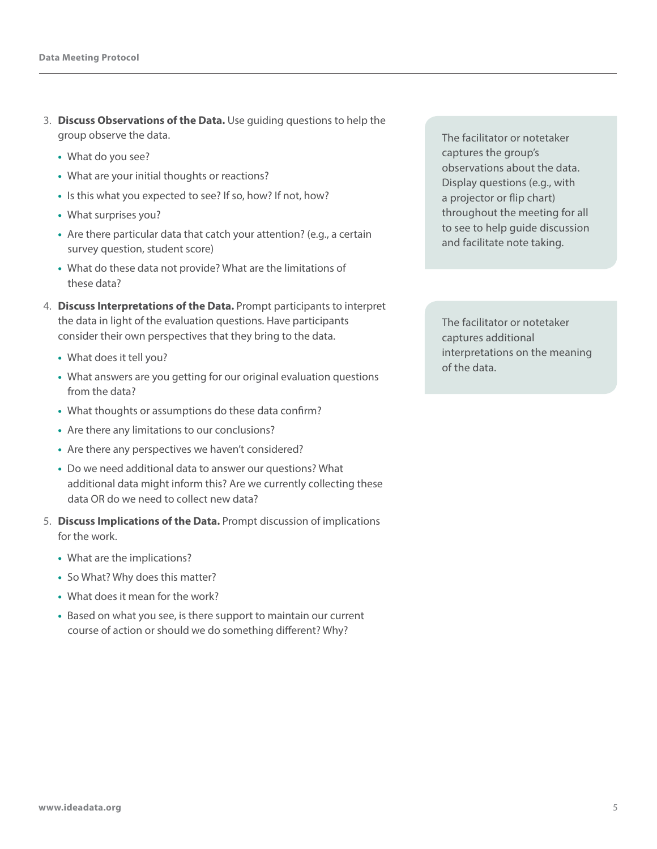- 3. **Discuss Observations of the Data.** Use guiding questions to help the group observe the data.
	- **•** What do you see?
	- **•** What are your initial thoughts or reactions?
	- **•** Is this what you expected to see? If so, how? If not, how?
	- **•** What surprises you?
	- **•** Are there particular data that catch your attention? (e.g., a certain survey question, student score)
	- **•** What do these data not provide? What are the limitations of these data?
- 4. **Discuss Interpretations of the Data.** Prompt participants to interpret the data in light of the evaluation questions. Have participants consider their own perspectives that they bring to the data.
	- **•** What does it tell you?
	- **•** What answers are you getting for our original evaluation questions from the data?
	- **•** What thoughts or assumptions do these data confirm?
	- **•** Are there any limitations to our conclusions?
	- **•** Are there any perspectives we haven't considered?
	- **•** Do we need additional data to answer our questions? What additional data might inform this? Are we currently collecting these data OR do we need to collect new data?
- 5. **Discuss Implications of the Data.** Prompt discussion of implications for the work.
	- **•** What are the implications?
	- **•** So What? Why does this matter?
	- **•** What does it mean for the work?
	- **•** Based on what you see, is there support to maintain our current course of action or should we do something different? Why?

The facilitator or notetaker captures the group's observations about the data. Display questions (e.g., with a projector or flip chart) throughout the meeting for all to see to help guide discussion and facilitate note taking.

The facilitator or notetaker captures additional interpretations on the meaning of the data.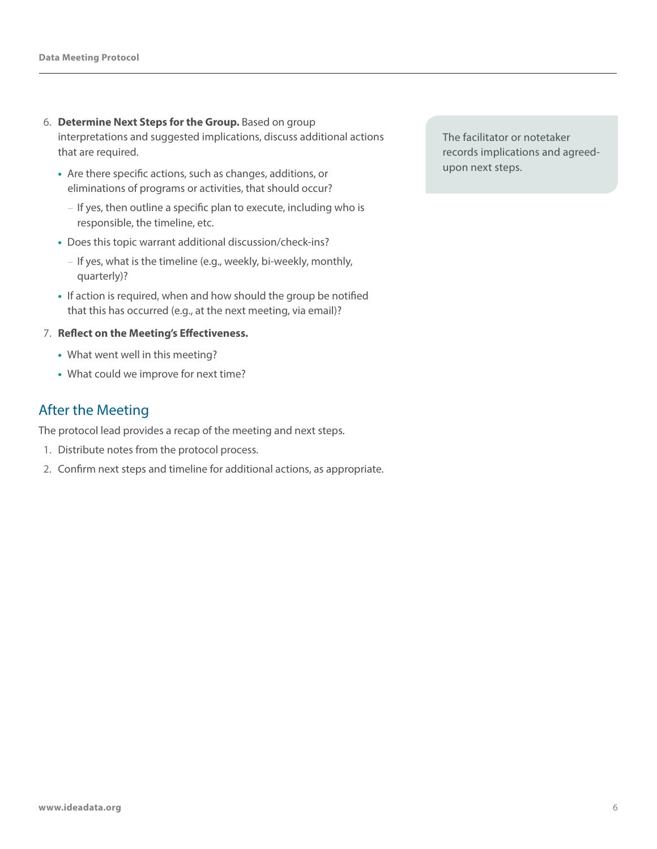- 6. **Determine Next Steps for the Group.** Based on group interpretations and suggested implications, discuss additional actions that are required.
	- Are there specific actions, such as changes, additions, or eliminations of programs or activities, that should occur?
		- If yes, then outline a specific plan to execute, including who is responsible, the timeline, etc.
	- Does this topic warrant additional discussion/check-ins?
		- If yes, what is the timeline (e.g., weekly, bi-weekly, monthly, quarterly)?
	- If action is required, when and how should the group be notified that this has occurred (e.g., at the next meeting, via email)?

#### 7. **Reflect on the Meeting's Effectiveness.**

- What went well in this meeting?
- What could we improve for next time?

#### After the Meeting

The protocol lead provides a recap of the meeting and next steps.

- 1. Distribute notes from the protocol process.
- 2. Confirm next steps and timeline for additional actions, as appropriate.

The facilitator or notetaker records implications and agreedupon next steps.